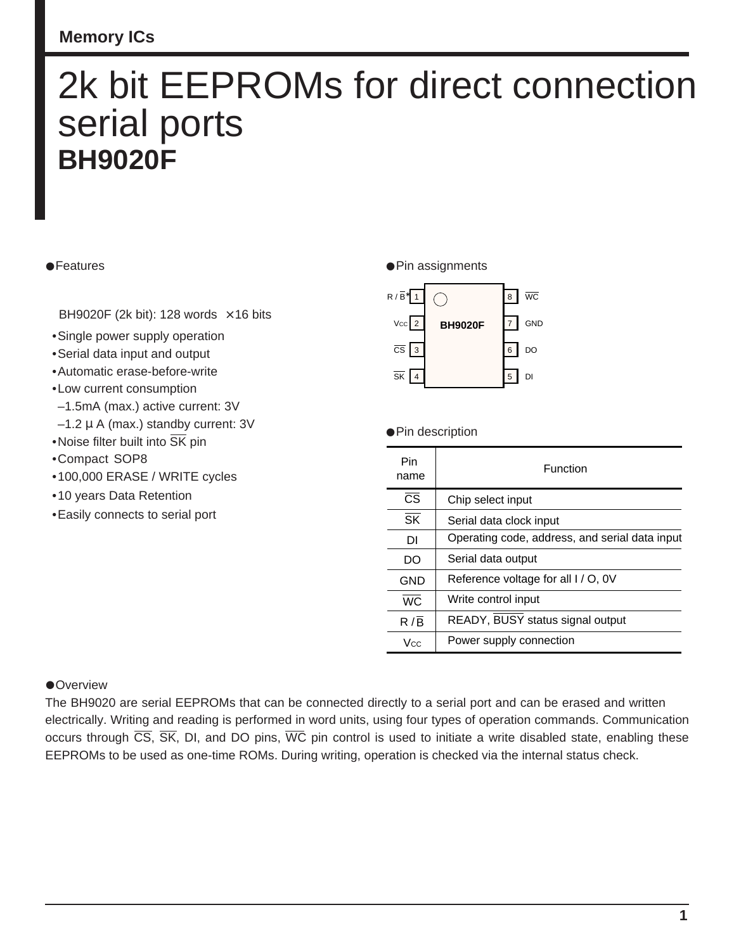# 2k bit EEPROMs for direct connection serial ports **BH9020F**

#### **•Features**

BH9020F (2k bit): 128 words  $\times$  16 bits

- •Single power supply operation
- •Serial data input and output
- •Automatic erase-before-write
- •Low current consumption
- –1.5mA (max.) active current: 3V
- $-1.2 \mu$  A (max.) standby current: 3V
- •Noise filter built into  $\overline{\text{SK}}$  pin
- •Compact SOP8
- •100,000 ERASE / WRITE cycles
- •10 years Data Retention
- •Easily connects to serial port

#### **•Pin assignments**



**•Pin description** 

| Pin<br>name            | Function                                       |  |  |  |  |
|------------------------|------------------------------------------------|--|--|--|--|
| $\overline{\text{CS}}$ | Chip select input                              |  |  |  |  |
| SK                     | Serial data clock input                        |  |  |  |  |
| DI                     | Operating code, address, and serial data input |  |  |  |  |
| DO                     | Serial data output                             |  |  |  |  |
| GND                    | Reference voltage for all I / O, 0V            |  |  |  |  |
| $\overline{WC}$        | Write control input                            |  |  |  |  |
| $R/\overline{B}$       | READY, BUSY status signal output               |  |  |  |  |
| <b>Vcc</b>             | Power supply connection                        |  |  |  |  |

#### **•Overview**

The BH9020 are serial EEPROMs that can be connected directly to a serial port and can be erased and written electrically. Writing and reading is performed in word units, using four types of operation commands. Communication occurs through  $\overline{CS}$ ,  $\overline{SK}$ , DI, and DO pins,  $\overline{WC}$  pin control is used to initiate a write disabled state, enabling these EEPROMs to be used as one-time ROMs. During writing, operation is checked via the internal status check.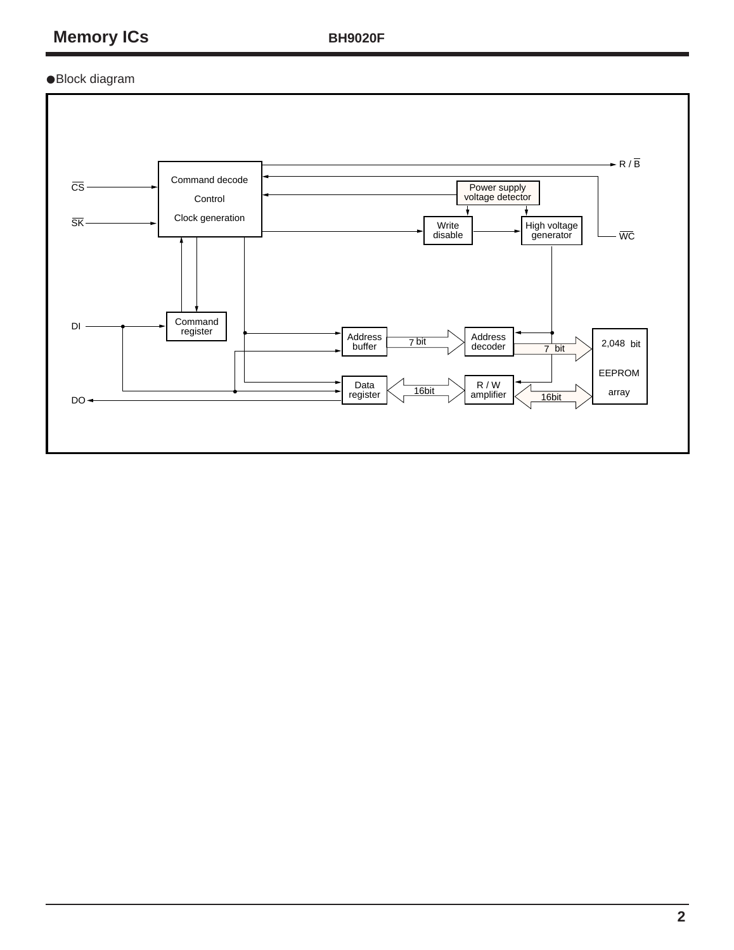**BH9020F**

•Block diagram

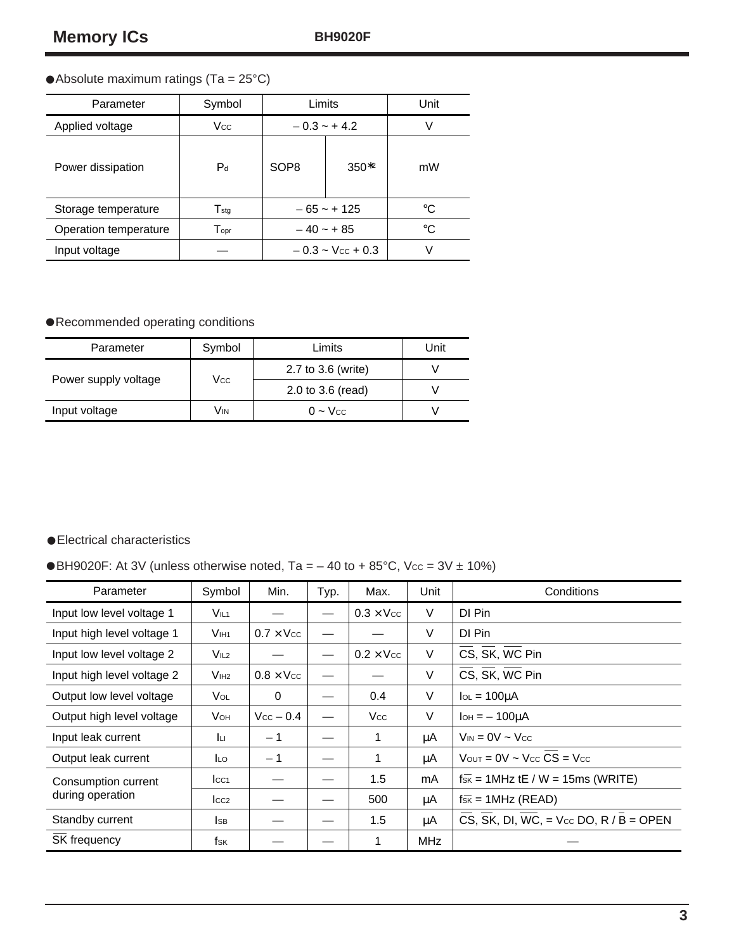## •Absolute maximum ratings (Ta = 25°C)

| Parameter             | Symbol                      | Limits                | Unit       |    |
|-----------------------|-----------------------------|-----------------------|------------|----|
| Applied voltage       | Vcc.                        | $-0.3 - +4.2$         |            | V  |
| Power dissipation     | $P_d$                       | SOP <sub>8</sub>      | $350^{*2}$ | mW |
| Storage temperature   | $\mathsf{T}_{\textsf{stq}}$ | $-65 - + 125$         |            | °C |
| Operation temperature | $\mathsf{T}_{\mathsf{opt}}$ | $-40 - +85$           |            | °C |
| Input voltage         |                             | $-0.3 \sim$ Vcc + 0.3 | v          |    |

## •Recommended operating conditions

| Parameter            | Symbol | Limits             | Unit |
|----------------------|--------|--------------------|------|
| Power supply voltage | Vcc    | 2.7 to 3.6 (write) |      |
|                      |        | 2.0 to 3.6 (read)  |      |
| Input voltage        | VIN    | $0 - V_{CC}$       |      |

### •Electrical characteristics

 $\blacklozenge$ BH9020F: At 3V (unless otherwise noted, Ta = – 40 to + 85°C, Vcc = 3V ± 10%)

| Parameter                               | Symbol           | Min.             | Typ. | Max.             | Unit       | Conditions                                                  |
|-----------------------------------------|------------------|------------------|------|------------------|------------|-------------------------------------------------------------|
| Input low level voltage 1               | $V_{IL1}$        |                  |      | $0.3 \times$ Vcc | V          | DI Pin                                                      |
| Input high level voltage 1              | V <sub>IH1</sub> | $0.7 \times$ Vcc |      |                  | V          | DI Pin                                                      |
| Input low level voltage 2               | V <sub>IL2</sub> |                  |      | $0.2 \times$ Vcc | V          | CS, SK, WC Pin                                              |
| Input high level voltage 2              | V <sub>IH2</sub> | $0.8 \times$ Vcc |      |                  | V          | CS, SK, WC Pin                                              |
| Output low level voltage                | Vol.             | 0                |      | 0.4              | V          | $I_{OL} = 100 \mu A$                                        |
| Output high level voltage               | <b>V</b> он      | $Vcc - 0.4$      |      | <b>Vcc</b>       | V          | $IOH = - 100UA$                                             |
| Input leak current                      | Īц               | $-1$             |      | 1                | μA         | $V_{IN} = 0V \sim V_{CC}$                                   |
| Output leak current                     | <b>ILO</b>       | $-1$             |      | 1                | μA         | $V_{\text{OUT}} = 0V \sim V_{\text{CC}} CS = V_{\text{CC}}$ |
| Consumption current<br>during operation | $ _{CC1}$        |                  |      | 1.5              | mA         | $f_{SK}$ = 1MHz tE / W = 15ms (WRITE)                       |
|                                         | $ _{CC2}$        |                  |      | 500              | μA         | $f_{SK} = 1$ MHz (READ)                                     |
| Standby current                         | lsв              |                  |      | 1.5              | μA         | CS, SK, DI, WC, = $Vec$ DO, R / B = OPEN                    |
| SK frequency                            | fsk              |                  |      |                  | <b>MHz</b> |                                                             |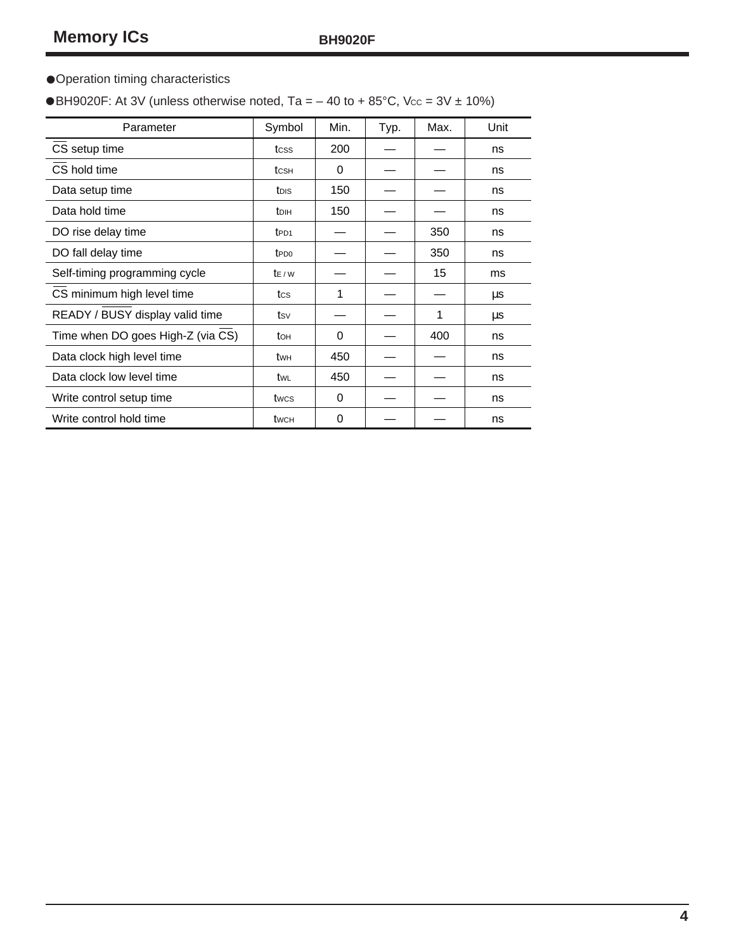## •Operation timing characteristics

 $\blacklozenge$ BH9020F: At 3V (unless otherwise noted, Ta = – 40 to + 85°C, Vcc = 3V ± 10%)

| Parameter                         | Symbol                  | Min.     | Typ. | Max. | Unit |
|-----------------------------------|-------------------------|----------|------|------|------|
| CS setup time                     | tcss                    | 200      |      |      | ns   |
| CS hold time                      | tcsн                    | $\Omega$ |      |      | ns   |
| Data setup time                   | tois                    | 150      |      |      | ns   |
| Data hold time                    | <b>t</b> <sub>DIH</sub> | 150      |      |      | ns   |
| DO rise delay time                | t <sub>PD1</sub>        |          |      | 350  | ns   |
| DO fall delay time                | t <sub>PD0</sub>        |          |      | 350  | ns   |
| Self-timing programming cycle     | $t_{E/W}$               |          |      | 15   | ms   |
| CS minimum high level time        | tcs                     | 1        |      |      | μs   |
| READY / BUSY display valid time   | tsv                     |          |      | 1    | μs   |
| Time when DO goes High-Z (via CS) | tон                     | $\Omega$ |      | 400  | ns   |
| Data clock high level time        | twн                     | 450      |      |      | ns   |
| Data clock low level time         | twL                     | 450      |      |      | ns   |
| Write control setup time          | twcs                    | $\Omega$ |      |      | ns   |
| Write control hold time           | twch                    | $\Omega$ |      |      | ns   |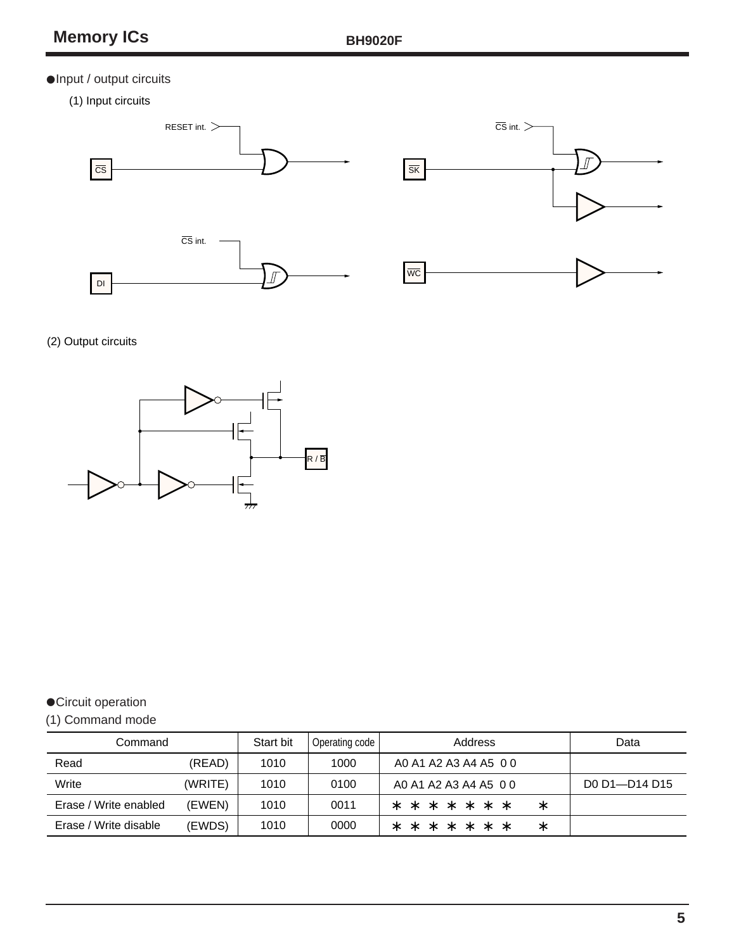## •Input / output circuits

(1) Input circuits





## (2) Output circuits



## •Circuit operation

## (1) Command mode

| Command               |         | Start bit | Operating code | Address                         | Data          |
|-----------------------|---------|-----------|----------------|---------------------------------|---------------|
| Read                  | (READ)  | 1010      | 1000           | A0 A1 A2 A3 A4 A5 0 0           |               |
| Write                 | (WRITE) | 1010      | 0100           | A0 A1 A2 A3 A4 A5 0 0           | DO D1-D14 D15 |
| Erase / Write enabled | (EWEN)  | 1010      | 0011           | * * * * * *<br>$\ast$<br>$\ast$ |               |
| Erase / Write disable | (EWDS)  | 1010      | 0000           | * * * * * *<br>$\ast$<br>$\ast$ |               |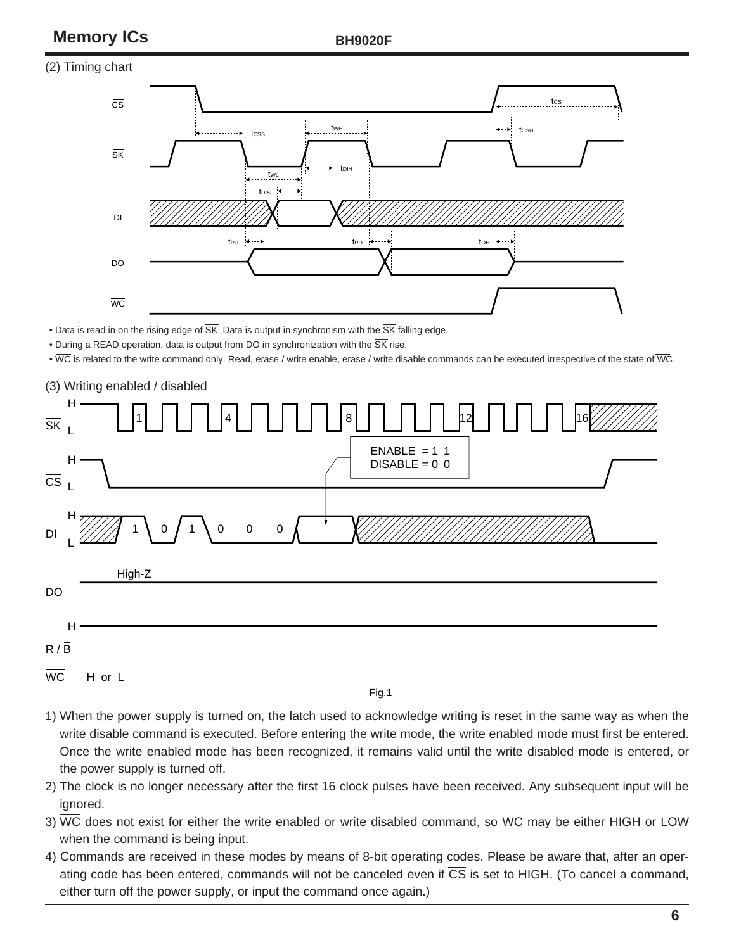# **Memory ICs BH9020F**

#### (2) Timing chart



• Data is read in on the rising edge of  $\overline{\text{SK}}$ . Data is output in synchronism with the  $\overline{\text{SK}}$  falling edge.

• During a READ operation, data is output from DO in synchronization with the  $\overline{\text{SK}}$  rise.

• WC is related to the write command only. Read, erase / write enable, erase / write disable commands can be executed irrespective of the state of WC.



Fig.1

- 1) When the power supply is turned on, the latch used to acknowledge writing is reset in the same way as when the write disable command is executed. Before entering the write mode, the write enabled mode must first be entered. Once the write enabled mode has been recognized, it remains valid until the write disabled mode is entered, or the power supply is turned off.
- 2) The clock is no longer necessary after the first 16 clock pulses have been received. Any subsequent input will be ignored.
- 3)  $\overline{WC}$  does not exist for either the write enabled or write disabled command, so  $\overline{WC}$  may be either HIGH or LOW when the command is being input.
- 4) Commands are received in these modes by means of 8-bit operating codes. Please be aware that, after an operating code has been entered, commands will not be canceled even if CS is set to HIGH. (To cancel a command, either turn off the power supply, or input the command once again.)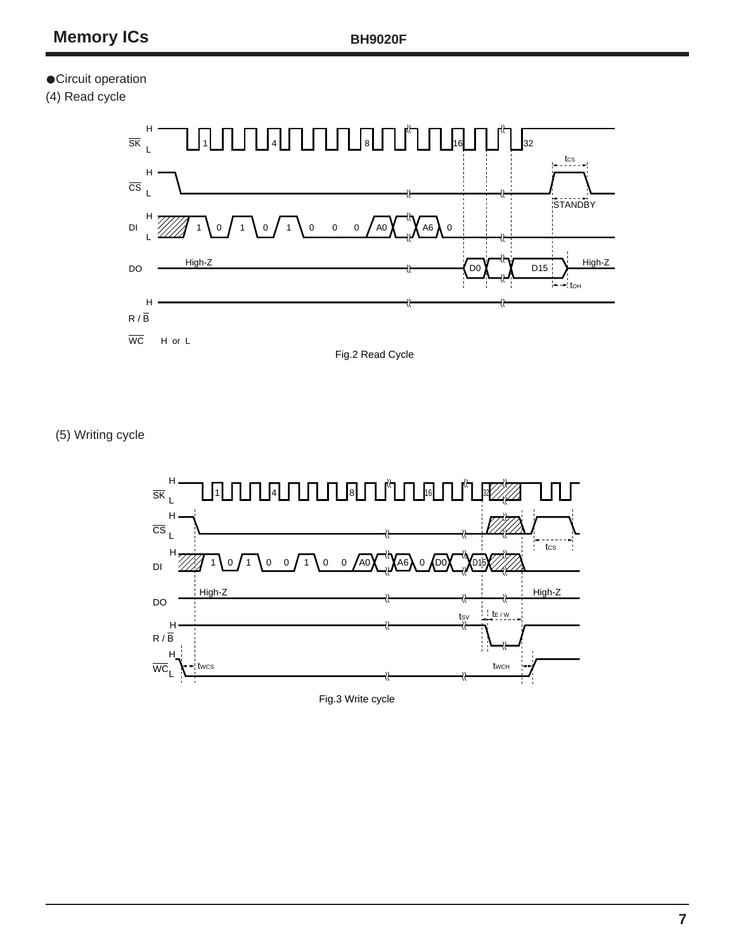### **•Circuit operation**

(4) Read cycle



(5) Writing cycle

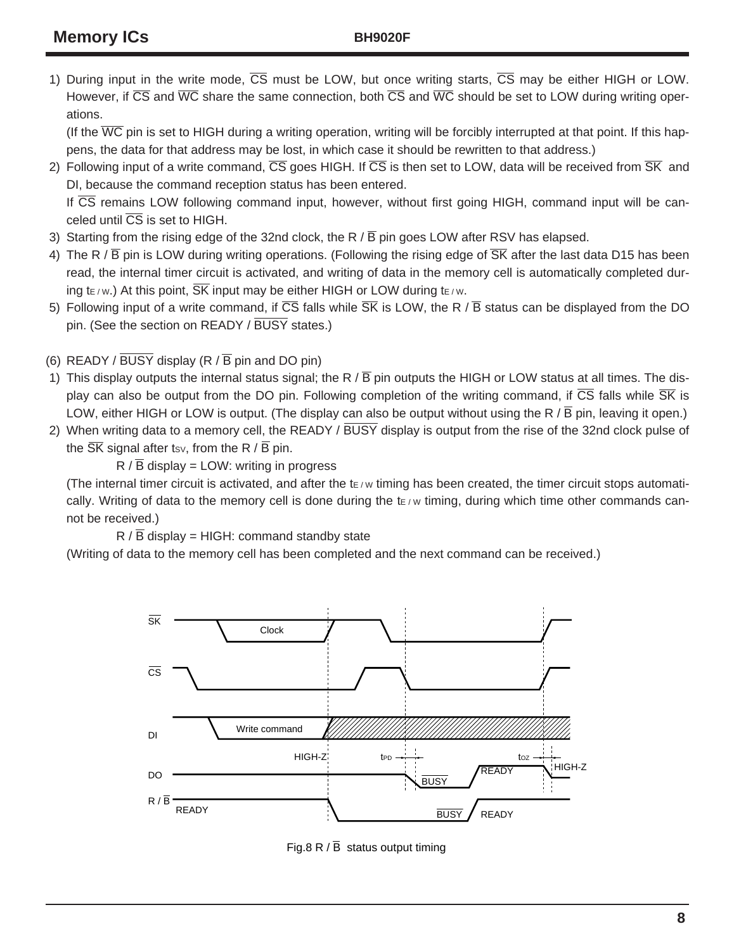1) During input in the write mode,  $\overline{CS}$  must be LOW, but once writing starts,  $\overline{CS}$  may be either HIGH or LOW. However, if  $\overline{CS}$  and  $\overline{WC}$  share the same connection, both  $\overline{CS}$  and  $\overline{WC}$  should be set to LOW during writing operations.

(If the  $\overline{WC}$  pin is set to HIGH during a writing operation, writing will be forcibly interrupted at that point. If this happens, the data for that address may be lost, in which case it should be rewritten to that address.)

2) Following input of a write command,  $\overline{CS}$  goes HIGH. If  $\overline{CS}$  is then set to LOW, data will be received from  $\overline{SK}$  and DI, because the command reception status has been entered. If  $\overline{\text{CS}}$  remains LOW following command input, however, without first going HIGH, command input will be can-

 $\overline{\text{c}}$  celed until  $\overline{\text{C}}\overline{\text{S}}$  is set to HIGH.

- 3) Starting from the rising edge of the 32nd clock, the R  $/$  B pin goes LOW after RSV has elapsed.
- 4) The R /  $\overline{B}$  pin is LOW during writing operations. (Following the rising edge of  $\overline{SK}$  after the last data D15 has been read, the internal timer circuit is activated, and writing of data in the memory cell is automatically completed during t<sub>E</sub> / w.) At this point,  $\overline{\text{SK}}$  input may be either HIGH or LOW during te / w.
- 5) Following input of a write command, if  $\overline{CS}$  falls while  $\overline{SK}$  is LOW, the R /  $\overline{B}$  status can be displayed from the DO pin. (See the section on READY / BUSY states.)

(6) READY /  $\overline{BUSY}$  display (R /  $\overline{B}$  pin and DO pin)

- 1) This display outputs the internal status signal; the R  $/$  B pin outputs the HIGH or LOW status at all times. The display can also be output from the DO pin. Following completion of the writing command, if  $\overline{CS}$  falls while  $\overline{SK}$  is LOW, either HIGH or LOW is output. (The display can also be output without using the R  $/B$  pin, leaving it open.)
- 2) When writing data to a memory cell, the READY / BUSY display is output from the rise of the 32nd clock pulse of the  $\overline{\text{SK}}$  signal after tsv, from the R /  $\overline{\text{B}}$  pin.

 $R / \overline{B}$  display = LOW: writing in progress

(The internal timer circuit is activated, and after the  $t_{\rm F/W}$  timing has been created, the timer circuit stops automatically. Writing of data to the memory cell is done during the  $t_{E/W}$  timing, during which time other commands cannot be received.)

 $R / \overline{B}$  display = HIGH: command standby state

(Writing of data to the memory cell has been completed and the next command can be received.)



Fig.8 R /  $\overline{B}$  status output timing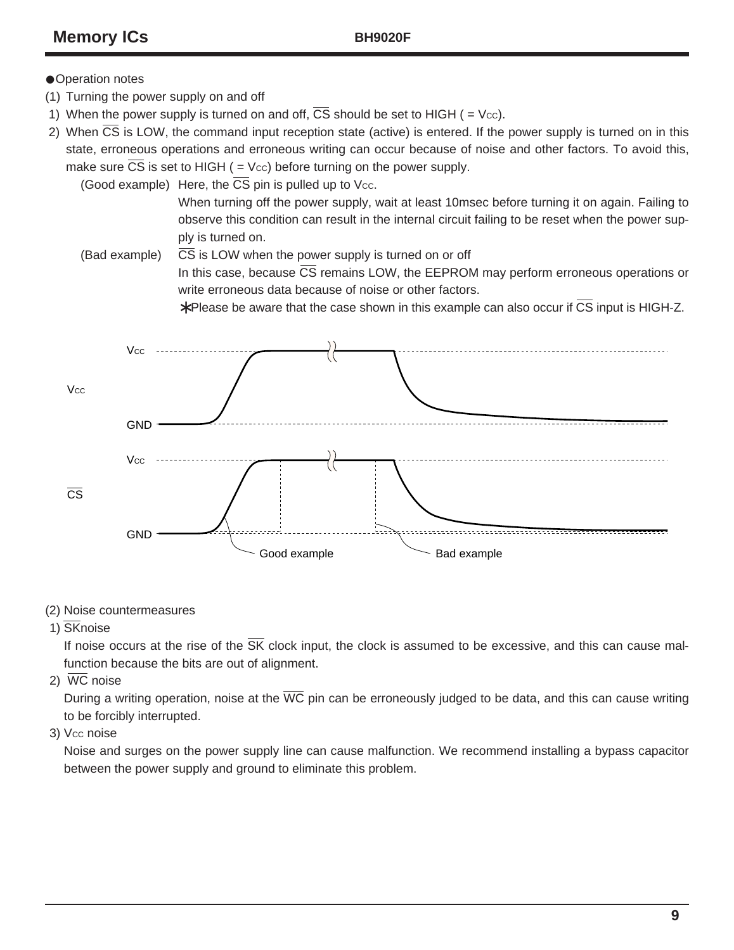### **•Operation notes**

- (1) Turning the power supply on and off
- 1) When the power supply is turned on and off,  $\overline{CS}$  should be set to HIGH ( = Vcc).
- 2) When  $\overline{CS}$  is LOW, the command input reception state (active) is entered. If the power supply is turned on in this state, erroneous operations and erroneous writing can occur because of noise and other factors. To avoid this, make sure  $\overline{CS}$  is set to HIGH ( = Vcc) before turning on the power supply.

(Good example) Here, the  $\overline{CS}$  pin is pulled up to Vcc.

When turning off the power supply, wait at least 10msec before turning it on again. Failing to observe this condition can result in the internal circuit failing to be reset when the power supply is turned on.

(Bad example)  $\overline{CS}$  is LOW when the power supply is turned on or off In this case, because  $\overline{\text{CS}}$  remains LOW, the EEPROM may perform erroneous operations or write erroneous data because of noise or other factors.

∗ Please be aware that the case shown in this example can also occur if CS input is HIGH-Z.



#### (2) Noise countermeasures

1) SKnoise

If noise occurs at the rise of the  $\overline{\text{SK}}$  clock input, the clock is assumed to be excessive, and this can cause malfunction because the bits are out of alignment.

2) WC noise

During a writing operation, noise at the  $\overline{WC}$  pin can be erroneously judged to be data, and this can cause writing to be forcibly interrupted.

3) Vcc noise

Noise and surges on the power supply line can cause malfunction. We recommend installing a bypass capacitor between the power supply and ground to eliminate this problem.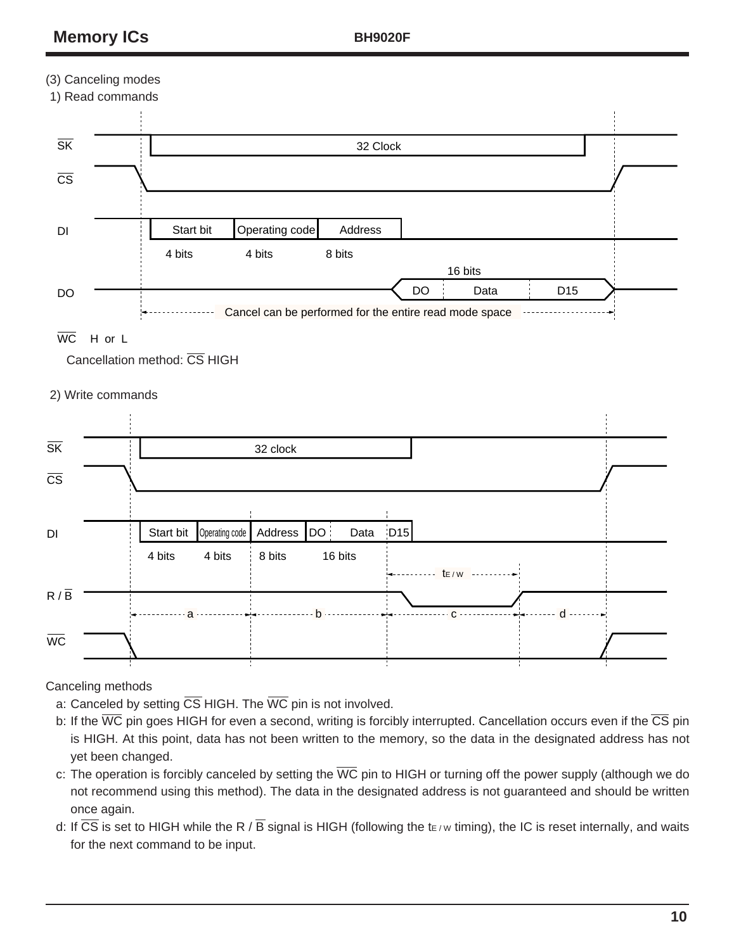## (3) Canceling modes



### $\overline{WC}$  H or L

Cancellation method: CS HIGH

### 2) Write commands



Canceling methods

- a: Canceled by setting  $\overline{\text{CS}}$  HIGH. The  $\overline{\text{WC}}$  pin is not involved.
- b: If the  $\overline{WC}$  pin goes HIGH for even a second, writing is forcibly interrupted. Cancellation occurs even if the  $\overline{CS}$  pin is HIGH. At this point, data has not been written to the memory, so the data in the designated address has not yet been changed.
- c: The operation is forcibly canceled by setting the  $\overline{WC}$  pin to HIGH or turning off the power supply (although we do not recommend using this method). The data in the designated address is not guaranteed and should be written once again.
- d: If  $\overline{CS}$  is set to HIGH while the R /  $\overline{B}$  signal is HIGH (following the t $\epsilon$  w timing), the IC is reset internally, and waits for the next command to be input.